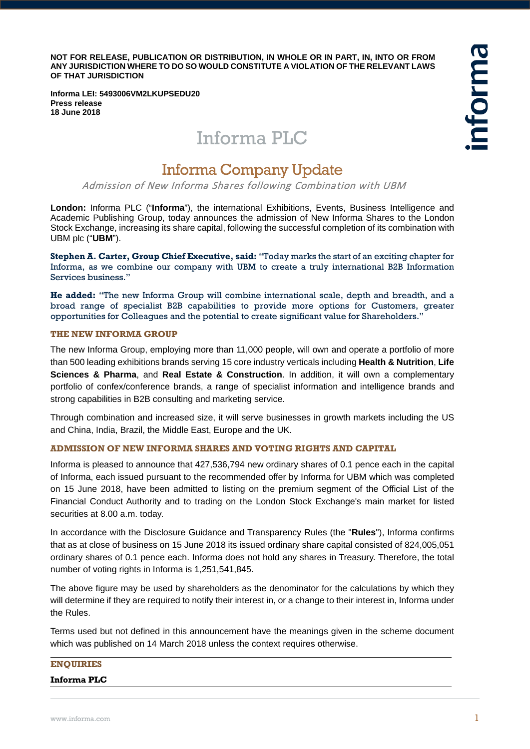**NOT FOR RELEASE, PUBLICATION OR DISTRIBUTION, IN WHOLE OR IN PART, IN, INTO OR FROM ANY JURISDICTION WHERE TO DO SO WOULD CONSTITUTE A VIOLATION OF THE RELEVANT LAWS OF THAT JURISDICTION**

nforma

**Informa LEI: 5493006VM2LKUPSEDU20 Press release 18 June 2018**

# Informa PLC

## Informa Company Update

Admission of New Informa Shares following Combination with UBM

**London:** Informa PLC ("**Informa**"), the international Exhibitions, Events, Business Intelligence and Academic Publishing Group, today announces the admission of New Informa Shares to the London Stock Exchange, increasing its share capital, following the successful completion of its combination with UBM plc ("**UBM**").

**Stephen A. Carter, Group Chief Executive, said:** "Today marks the start of an exciting chapter for Informa, as we combine our company with UBM to create a truly international B2B Information Services business."

**He added:** "The new Informa Group will combine international scale, depth and breadth, and a broad range of specialist B2B capabilities to provide more options for Customers, greater opportunities for Colleagues and the potential to create significant value for Shareholders."

#### **THE NEW INFORMA GROUP**

The new Informa Group, employing more than 11,000 people, will own and operate a portfolio of more than 500 leading exhibitions brands serving 15 core industry verticals including **Health & Nutrition**, **Life Sciences & Pharma**, and **Real Estate & Construction**. In addition, it will own a complementary portfolio of confex/conference brands, a range of specialist information and intelligence brands and strong capabilities in B2B consulting and marketing service.

Through combination and increased size, it will serve businesses in growth markets including the US and China, India, Brazil, the Middle East, Europe and the UK.

### **ADMISSION OF NEW INFORMA SHARES AND VOTING RIGHTS AND CAPITAL**

Informa is pleased to announce that 427,536,794 new ordinary shares of 0.1 pence each in the capital of Informa, each issued pursuant to the recommended offer by Informa for UBM which was completed on 15 June 2018, have been admitted to listing on the premium segment of the Official List of the Financial Conduct Authority and to trading on the London Stock Exchange's main market for listed securities at 8.00 a.m. today.

In accordance with the Disclosure Guidance and Transparency Rules (the "**Rules**"), Informa confirms that as at close of business on 15 June 2018 its issued ordinary share capital consisted of 824,005,051 ordinary shares of 0.1 pence each. Informa does not hold any shares in Treasury. Therefore, the total number of voting rights in Informa is 1,251,541,845.

The above figure may be used by shareholders as the denominator for the calculations by which they will determine if they are required to notify their interest in, or a change to their interest in, Informa under the Rules.

Terms used but not defined in this announcement have the meanings given in the scheme document which was published on 14 March 2018 unless the context requires otherwise.

#### **ENQUIRIES**

#### **Informa PLC**